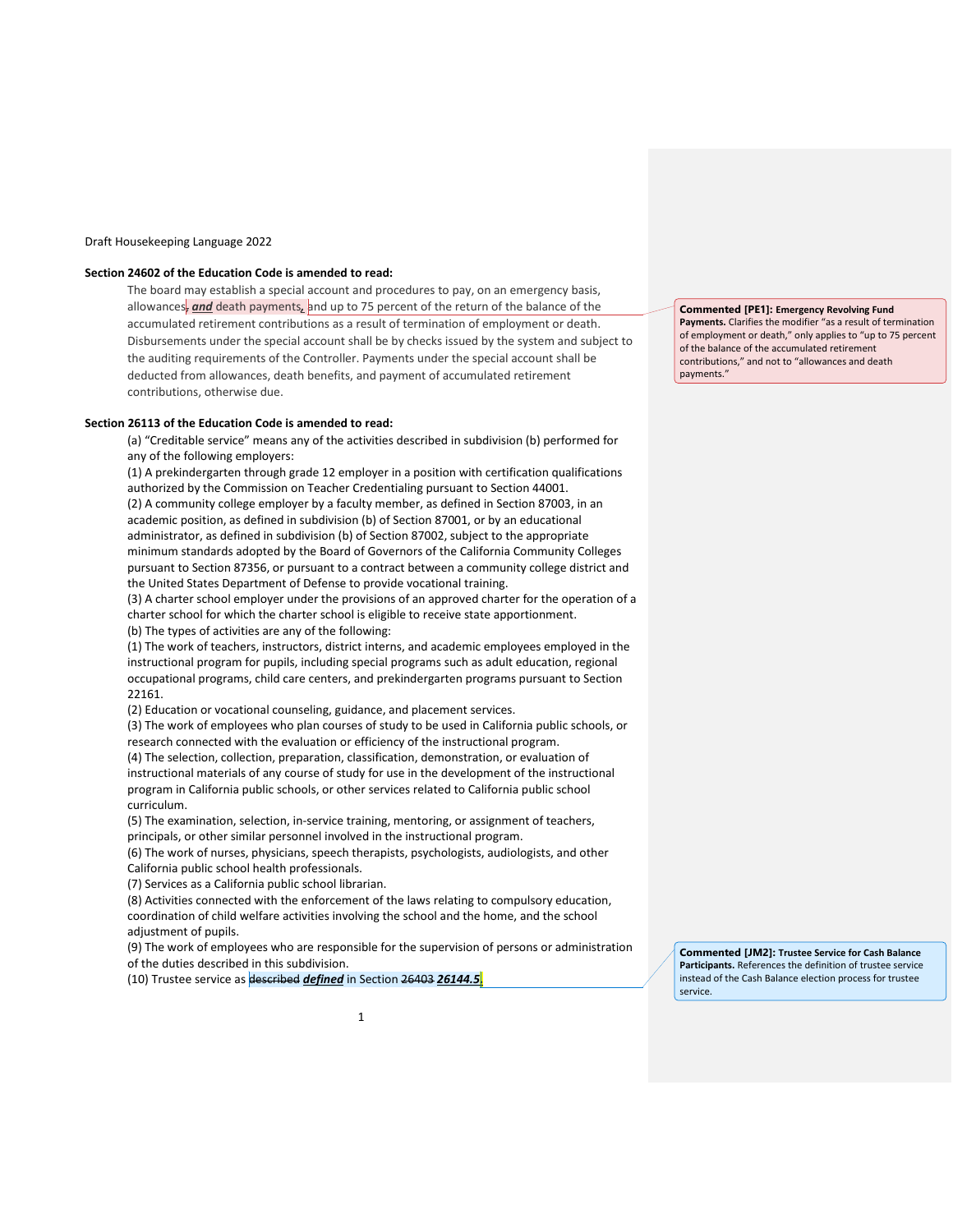### Draft Housekeeping Language 2022

#### **Section 24602 of the Education Code is amended to read:**

The board may establish a special account and procedures to pay, on an emergency basis, allowances<sub>r</sub> and death payments, and up to 75 percent of the return of the balance of the accumulated retirement contributions as a result of termination of employment or death. Disbursements under the special account shall be by checks issued by the system and subject to the auditing requirements of the Controller. Payments under the special account shall be deducted from allowances, death benefits, and payment of accumulated retirement contributions, otherwise due.

#### **Section 26113 of the Education Code is amended to read:**

(a) "Creditable service" means any of the activities described in subdivision (b) performed for any of the following employers:

(1) A prekindergarten through grade 12 employer in a position with certification qualifications authorized by the Commission on Teacher Credentialing pursuant to Section 44001. (2) A community college employer by a faculty member, as defined in Section 87003, in an academic position, as defined in subdivision (b) of Section 87001, or by an educational administrator, as defined in subdivision (b) of Section 87002, subject to the appropriate minimum standards adopted by the Board of Governors of the California Community Colleges pursuant to Section 87356, or pursuant to a contract between a community college district and the United States Department of Defense to provide vocational training.

(3) A charter school employer under the provisions of an approved charter for the operation of a charter school for which the charter school is eligible to receive state apportionment. (b) The types of activities are any of the following:

(1) The work of teachers, instructors, district interns, and academic employees employed in the instructional program for pupils, including special programs such as adult education, regional occupational programs, child care centers, and prekindergarten programs pursuant to Section 22161.

(2) Education or vocational counseling, guidance, and placement services.

(3) The work of employees who plan courses of study to be used in California public schools, or research connected with the evaluation or efficiency of the instructional program.

(4) The selection, collection, preparation, classification, demonstration, or evaluation of instructional materials of any course of study for use in the development of the instructional program in California public schools, or other services related to California public school curriculum.

(5) The examination, selection, in-service training, mentoring, or assignment of teachers, principals, or other similar personnel involved in the instructional program.

(6) The work of nurses, physicians, speech therapists, psychologists, audiologists, and other California public school health professionals.

(7) Services as a California public school librarian.

(8) Activities connected with the enforcement of the laws relating to compulsory education, coordination of child welfare activities involving the school and the home, and the school adjustment of pupils.

(9) The work of employees who are responsible for the supervision of persons or administration of the duties described in this subdivision.

(10) Trustee service as described *defined* in Section 26403 *26144.5.*

**Commented [PE1]: Emergency Revolving Fund Payments.** Clarifies the modifier "as a result of termination of employment or death," only applies to "up to 75 percent of the balance of the accumulated retirement contributions," and not to "allowances and death payments."

**Commented [JM2]: Trustee Service for Cash Balance Participants.** References the definition of trustee service instead of the Cash Balance election process for trustee service.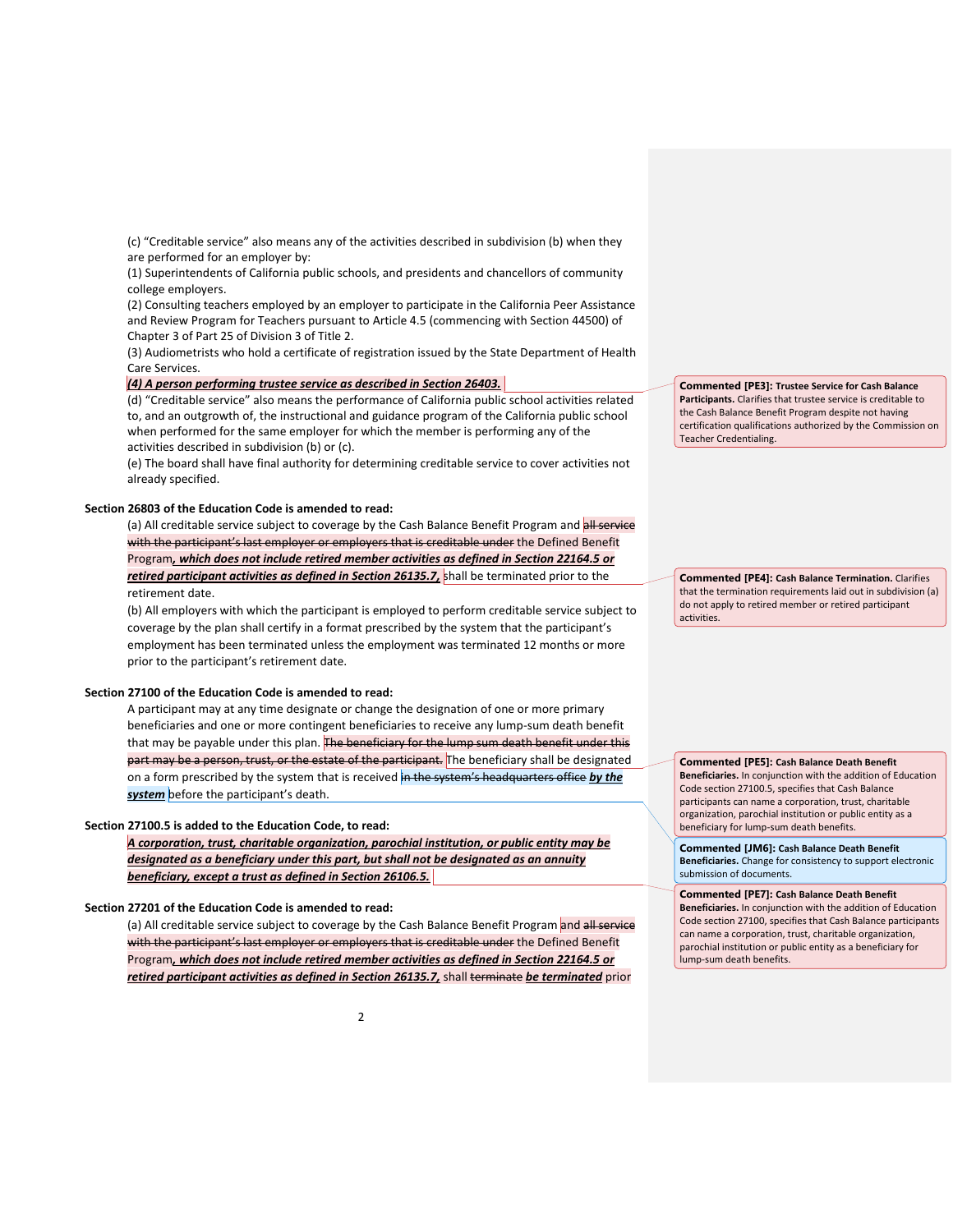(c) "Creditable service" also means any of the activities described in subdivision (b) when they are performed for an employer by:

(1) Superintendents of California public schools, and presidents and chancellors of community college employers.

(2) Consulting teachers employed by an employer to participate in the California Peer Assistance and Review Program for Teachers pursuant to Article 4.5 (commencing with Section 44500) of Chapter 3 of Part 25 of Division 3 of Title 2.

(3) Audiometrists who hold a certificate of registration issued by the State Department of Health Care Services.

#### *(4) A person performing trustee service as described in Section 26403.*

(d) "Creditable service" also means the performance of California public school activities related to, and an outgrowth of, the instructional and guidance program of the California public school when performed for the same employer for which the member is performing any of the activities described in subdivision (b) or (c).

(e) The board shall have final authority for determining creditable service to cover activities not already specified.

#### **Section 26803 of the Education Code is amended to read:**

(a) All creditable service subject to coverage by the Cash Balance Benefit Program and all service with the participant's last employer or employers that is creditable under the Defined Benefit Program*, which does not include retired member activities as defined in Section 22164.5 or retired participant activities as defined in Section 26135.7,* shall be terminated prior to the retirement date.

(b) All employers with which the participant is employed to perform creditable service subject to coverage by the plan shall certify in a format prescribed by the system that the participant's employment has been terminated unless the employment was terminated 12 months or more prior to the participant's retirement date.

### **Section 27100 of the Education Code is amended to read:**

A participant may at any time designate or change the designation of one or more primary beneficiaries and one or more contingent beneficiaries to receive any lump-sum death benefit that may be payable under this plan. The beneficiary for the lump sum death benefit under this part may be a person, trust, or the estate of the participant. The beneficiary shall be designated on a form prescribed by the system that is received in the system's headquarters office by the *system* before the participant's death.

#### **Section 27100.5 is added to the Education Code, to read:**

*A corporation, trust, charitable organization, parochial institution, or public entity may be designated as a beneficiary under this part, but shall not be designated as an annuity beneficiary, except a trust as defined in Section 26106.5.*

# **Section 27201 of the Education Code is amended to read:**

(a) All creditable service subject to coverage by the Cash Balance Benefit Program and all service with the participant's last employer or employers that is creditable under the Defined Benefit Program*, which does not include retired member activities as defined in Section 22164.5 or retired participant activities as defined in Section 26135.7,* shall terminate *be terminated* prior

**Commented [PE3]: Trustee Service for Cash Balance Participants.** Clarifies that trustee service is creditable to the Cash Balance Benefit Program despite not having certification qualifications authorized by the Commission on Teacher Credentialing.

**Commented [PE4]: Cash Balance Termination.** Clarifies that the termination requirements laid out in subdivision (a) do not apply to retired member or retired participant activities.

**Commented [PE5]: Cash Balance Death Benefit Beneficiaries.** In conjunction with the addition of Education Code section 27100.5, specifies that Cash Balance participants can name a corporation, trust, charitable organization, parochial institution or public entity as a beneficiary for lump-sum death benefits.

**Commented [JM6]: Cash Balance Death Benefit Beneficiaries.** Change for consistency to support electronic submission of documents.

**Commented [PE7]: Cash Balance Death Benefit Beneficiaries.** In conjunction with the addition of Education Code section 27100, specifies that Cash Balance participants can name a corporation, trust, charitable organization, parochial institution or public entity as a beneficiary for lump-sum death benefits.